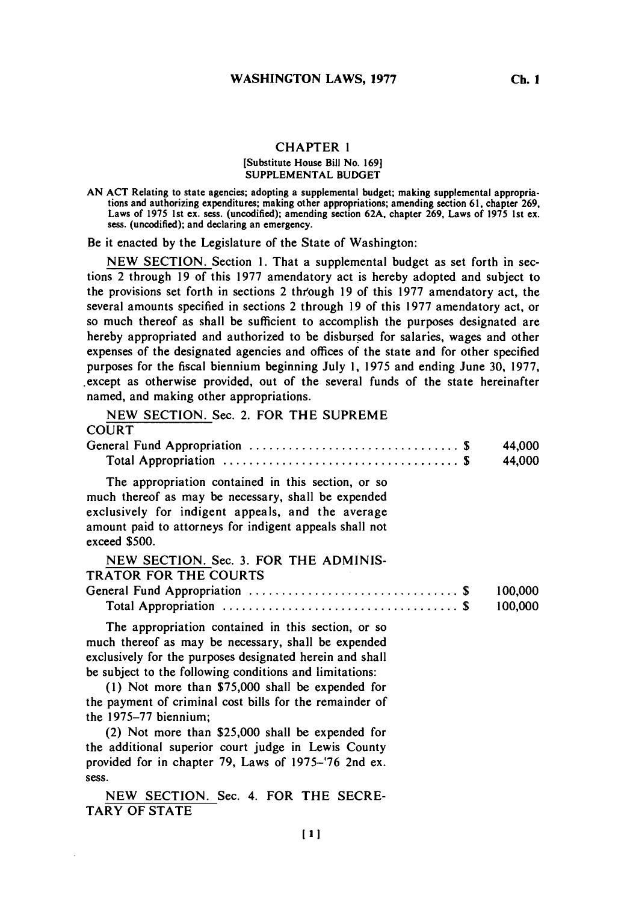## **CHAPTER 1**

#### [Substitute House Bill No. **169] SUPPLEMENTAL BUDGET**

Be it enacted **by** the Legislature of the State of Washington:

**NEW SECTION.** Section **1.** That a supplemental budget as set forth in sections 2 through **19** of this **1977** amendatory act is hereby adopted and subject to the provisions set forth in sections 2 through **19** of this **1977** amendatory act, the several amounts specified in sections 2 through **19** of this **1977** amendatory act, or so much thereof as shall be sufficient to accomplish the purposes designated are hereby appropriated and authorized to be disbursed for salaries, wages and other expenses of the designated agencies and offices of the state and for other specified purposes for the fiscal biennium beginning July **1, 1975** and ending June **30, 1977,** .except as otherwise provided, out of the several funds of the state hereinafter named, and making other appropriations.

|  |  |  |  |  |  | NEW SECTION. Sec. 2. FOR THE SUPREME |
|--|--|--|--|--|--|--------------------------------------|
|--|--|--|--|--|--|--------------------------------------|

## **COURT**

|                                                         | 44,000  |
|---------------------------------------------------------|---------|
|                                                         | 44,000  |
| The appropriation contained in this section, or so      |         |
| much thereof as may be necessary, shall be expended     |         |
| exclusively for indigent appeals, and the average       |         |
| amount paid to attorneys for indigent appeals shall not |         |
| exceed \$500.                                           |         |
| NEW SECTION. Sec. 3. FOR THE ADMINIS-                   |         |
| <b>TRATOR FOR THE COURTS</b>                            |         |
|                                                         | 100,000 |
|                                                         | 100,000 |

The appropriation contained in this section, or so much thereof as may be necessary, shall be expended exclusively for the purposes designated herein and shall be subject to the following conditions and limitations:

**(1)** Not more than **\$75,000** shall be expended for the payment of criminal cost bills for the remainder of the **1975-77** biennium;

(2) Not more than **\$25,000** shall be expended for the additional superior court judge in Lewis County provided for in chapter **79,** Laws of **1975-'76** 2nd ex. sess.

**NEW SECTION.** Sec. 4. FOR THE **SECRE-**TARY OF **STATE**

**AN ACT** Relating to state agencies; adopting a supplemental budget; making supplemental appropriations and authorizing expenditures; making other appropriations; amending section **61,** chapter **269,** Laws of **1975** 1st ex. sess. (uncodified); amending section **62A,** chapter **269,** Laws of **1975** 1st ex. sess. (uncodified); and declaring an emergency.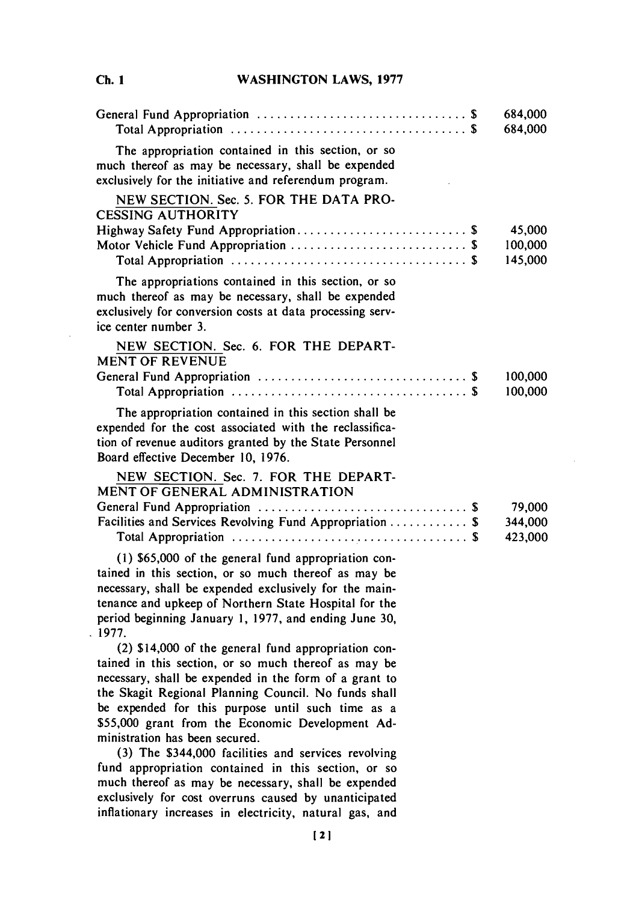**C. IWASHINGTON LAWS, 1977**

|                                                                                                                                                                                                                                                                                                                                        | 684,000<br>684,000           |
|----------------------------------------------------------------------------------------------------------------------------------------------------------------------------------------------------------------------------------------------------------------------------------------------------------------------------------------|------------------------------|
| The appropriation contained in this section, or so<br>much thereof as may be necessary, shall be expended<br>exclusively for the initiative and referendum program.                                                                                                                                                                    |                              |
| NEW SECTION. Sec. 5. FOR THE DATA PRO-<br><b>CESSING AUTHORITY</b>                                                                                                                                                                                                                                                                     |                              |
| Highway Safety Fund Appropriation \$                                                                                                                                                                                                                                                                                                   | 45,000<br>100,000<br>145,000 |
| The appropriations contained in this section, or so<br>much thereof as may be necessary, shall be expended<br>exclusively for conversion costs at data processing serv-<br>ice center number 3.                                                                                                                                        |                              |
| NEW SECTION. Sec. 6. FOR THE DEPART-<br><b>MENT OF REVENUE</b>                                                                                                                                                                                                                                                                         |                              |
|                                                                                                                                                                                                                                                                                                                                        | 100,000<br>100,000           |
| The appropriation contained in this section shall be<br>expended for the cost associated with the reclassifica-<br>tion of revenue auditors granted by the State Personnel<br>Board effective December 10, 1976.                                                                                                                       |                              |
| NEW SECTION. Sec. 7. FOR THE DEPART-<br>MENT OF GENERAL ADMINISTRATION                                                                                                                                                                                                                                                                 |                              |
| Facilities and Services Revolving Fund Appropriation  \$                                                                                                                                                                                                                                                                               | 79,000<br>344,000<br>423,000 |
| (1) \$65,000 of the general fund appropriation con-<br>tained in this section, or so much thereof as may be<br>necessary, shall be expended exclusively for the main-<br>tenance and upkeep of Northern State Hospital for the<br>period beginning January 1, 1977, and ending June 30,<br>.1977.                                      |                              |
| (2) \$14,000 of the general fund appropriation con-<br>tained in this section, or so much thereof as may be<br>necessary, shall be expended in the form of a grant to<br>the Skagit Regional Planning Council. No funds shall<br>be expended for this purpose until such time as a<br>\$55,000 grant from the Economic Development Ad- |                              |
| ministration has been secured.<br>(3) The \$344,000 facilities and services revolving<br>fund appropriation contained in this section, or so<br>much thereof as may be necessary, shall be expended<br>exclusively for cost overruns caused by unanticipated                                                                           |                              |

**Ch. I**

 $\sim$ 

121

inflationary increases in electricity, natural gas, and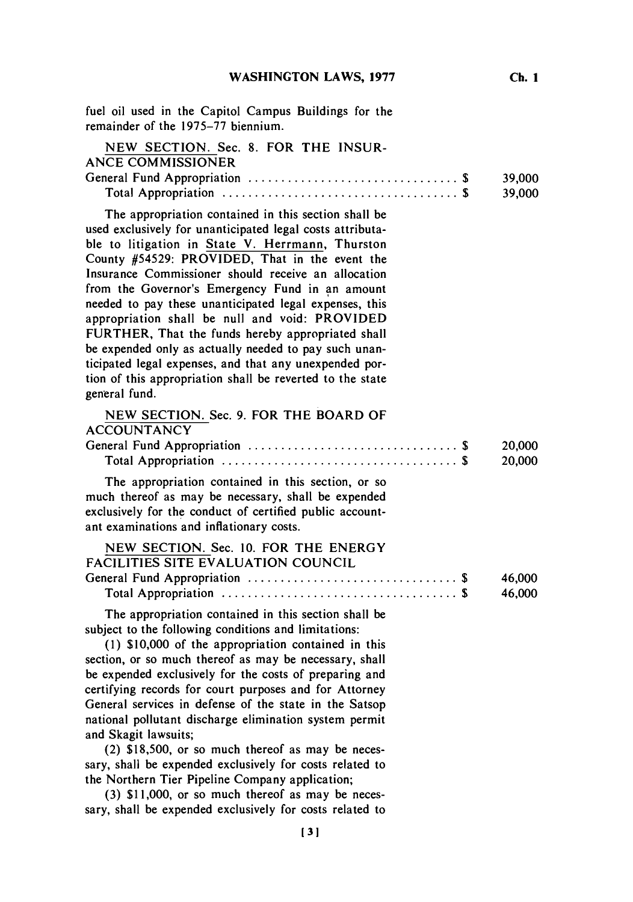| fuel oil used in the Capitol Campus Buildings for the<br>remainder of the 1975-77 biennium.                                                                                                                                                                                                                                                                                                                                                                                                                                                                                                                                                                                                         |                  |
|-----------------------------------------------------------------------------------------------------------------------------------------------------------------------------------------------------------------------------------------------------------------------------------------------------------------------------------------------------------------------------------------------------------------------------------------------------------------------------------------------------------------------------------------------------------------------------------------------------------------------------------------------------------------------------------------------------|------------------|
| NEW SECTION. Sec. 8. FOR THE INSUR-<br><b>ANCE COMMISSIONER</b>                                                                                                                                                                                                                                                                                                                                                                                                                                                                                                                                                                                                                                     | 39,000<br>39,000 |
| The appropriation contained in this section shall be<br>used exclusively for unanticipated legal costs attributa-<br>ble to litigation in State V. Herrmann, Thurston<br>County #54529: PROVIDED, That in the event the<br>Insurance Commissioner should receive an allocation<br>from the Governor's Emergency Fund in an amount<br>needed to pay these unanticipated legal expenses, this<br>appropriation shall be null and void: PROVIDED<br>FURTHER, That the funds hereby appropriated shall<br>be expended only as actually needed to pay such unan-<br>ticipated legal expenses, and that any unexpended por-<br>tion of this appropriation shall be reverted to the state<br>general fund. |                  |
| NEW SECTION. Sec. 9. FOR THE BOARD OF<br><b>ACCOUNTANCY</b>                                                                                                                                                                                                                                                                                                                                                                                                                                                                                                                                                                                                                                         | 20,000<br>20,000 |
| The appropriation contained in this section, or so<br>much thereof as may be necessary, shall be expended<br>exclusively for the conduct of certified public account-<br>ant examinations and inflationary costs.                                                                                                                                                                                                                                                                                                                                                                                                                                                                                   |                  |
| NEW SECTION. Sec. 10. FOR THE ENERGY<br>FACILITIES SITE EVALUATION COUNCIL                                                                                                                                                                                                                                                                                                                                                                                                                                                                                                                                                                                                                          | 46,000<br>46,000 |
| The appropriation contained in this section shall be<br>subject to the following conditions and limitations:<br>(1) \$10,000 of the appropriation contained in this<br>section, or so much thereof as may be necessary, shall<br>be expended exclusively for the costs of preparing and<br>certifying records for court purposes and for Attorney<br>General services in defense of the state in the Satsop<br>national pollutant discharge elimination system permit<br>and Skagit lawsuits;<br>(2) \$18,500, or so much thereof as may be neces-<br>sary, shall be expended exclusively for costs related to<br>the Northern Tier Pipeline Company application;                                   |                  |

**(3) \$11,000,** or so much thereof as may be necessary, shall be expended exclusively for costs related to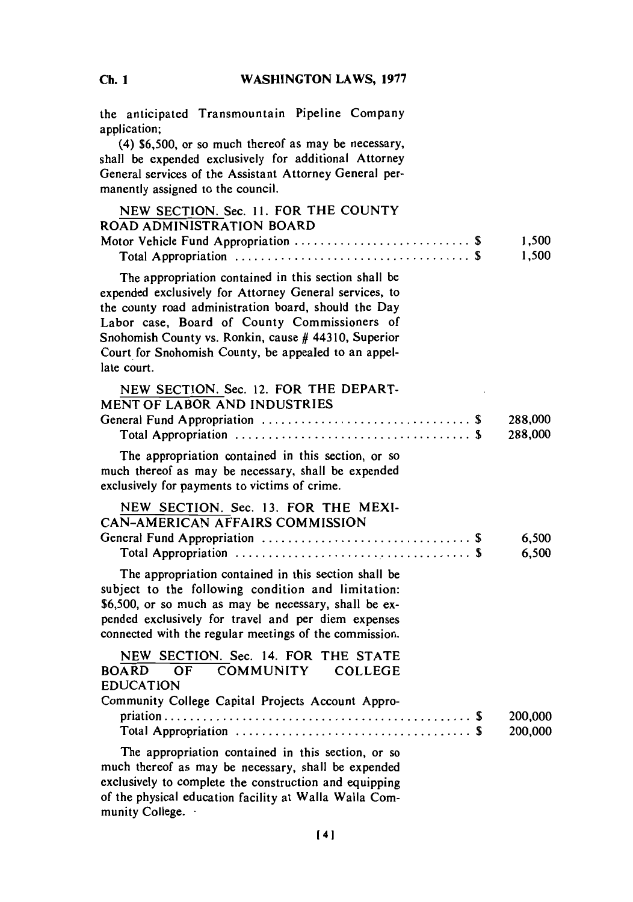# **C. 1WASHINGTON LAWS, 1977**

| the anticipated Transmountain Pipeline Company<br>application;<br>(4) \$6,500, or so much thereof as may be necessary,<br>shall be expended exclusively for additional Attorney<br>General services of the Assistant Attorney General per-<br>manently assigned to the council.                                                                       |                    |
|-------------------------------------------------------------------------------------------------------------------------------------------------------------------------------------------------------------------------------------------------------------------------------------------------------------------------------------------------------|--------------------|
| NEW SECTION. Sec. 11. FOR THE COUNTY<br><b>ROAD ADMINISTRATION BOARD</b>                                                                                                                                                                                                                                                                              |                    |
| Motor Vehicle Fund Appropriation  \$                                                                                                                                                                                                                                                                                                                  | 1,500<br>1,500     |
| The appropriation contained in this section shall be<br>expended exclusively for Attorney General services, to<br>the county road administration board, should the Day<br>Labor case, Board of County Commissioners of<br>Snohomish County vs. Ronkin, cause # 44310, Superior<br>Court for Snohomish County, be appealed to an appel-<br>late court. |                    |
| NEW SECTION. Sec. 12. FOR THE DEPART-<br><b>MENT OF LABOR AND INDUSTRIES</b>                                                                                                                                                                                                                                                                          |                    |
|                                                                                                                                                                                                                                                                                                                                                       | 288,000<br>288,000 |
| The appropriation contained in this section, or so<br>much thereof as may be necessary, shall be expended<br>exclusively for payments to victims of crime.                                                                                                                                                                                            |                    |
| NEW SECTION. Sec. 13. FOR THE MEXI-<br>CAN-AMERICAN AFFAIRS COMMISSION                                                                                                                                                                                                                                                                                |                    |
|                                                                                                                                                                                                                                                                                                                                                       | 6,500<br>6,500     |
| The appropriation contained in this section shall be<br>subject to the following condition and limitation:<br>\$6,500, or so much as may be necessary, shall be ex-<br>pended exclusively for travel and per diem expenses<br>connected with the regular meetings of the commission.                                                                  |                    |
| NEW SECTION. Sec. 14. FOR THE STATE<br>BOARD OF COMMUNITY COLLEGE                                                                                                                                                                                                                                                                                     |                    |
| <b>EDUCATION</b><br>Community College Capital Projects Account Appro-                                                                                                                                                                                                                                                                                 |                    |
|                                                                                                                                                                                                                                                                                                                                                       | 200,000<br>200,000 |
| The appropriation contained in this section, or so<br>much thereof as may be necessary, shall be expended<br>exclusively to complete the construction and equipping<br>of the physical education facility at Walla Walla Com-<br>munity College.                                                                                                      |                    |

**Ch. I**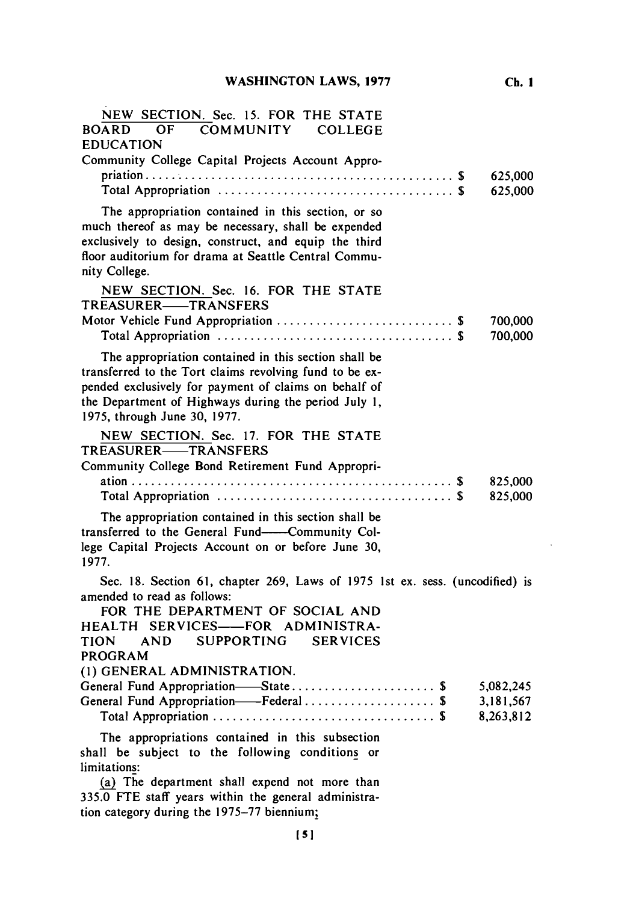| NEW SECTION. Sec. 15. FOR THE STATE<br>OF COMMUNITY COLLEGE<br><b>BOARD</b><br><b>EDUCATION</b><br>Community College Capital Projects Account Appro-                                                                                                             | 625,000<br>625,000                  |
|------------------------------------------------------------------------------------------------------------------------------------------------------------------------------------------------------------------------------------------------------------------|-------------------------------------|
| The appropriation contained in this section, or so<br>much thereof as may be necessary, shall be expended<br>exclusively to design, construct, and equip the third<br>floor auditorium for drama at Seattle Central Commu-<br>nity College.                      |                                     |
| NEW SECTION. Sec. 16. FOR THE STATE<br>TREASURER——TRANSFERS<br>Motor Vehicle Fund Appropriation  \$                                                                                                                                                              | 700,000<br>700,000                  |
| The appropriation contained in this section shall be<br>transferred to the Tort claims revolving fund to be ex-<br>pended exclusively for payment of claims on behalf of<br>the Department of Highways during the period July 1,<br>1975, through June 30, 1977. |                                     |
| NEW SECTION. Sec. 17. FOR THE STATE<br>TREASURER——TRANSFERS<br>Community College Bond Retirement Fund Appropri-                                                                                                                                                  | 825,000<br>825,000                  |
| The appropriation contained in this section shall be<br>transferred to the General Fund-Community Col-<br>lege Capital Projects Account on or before June 30,<br>1977.                                                                                           |                                     |
| Sec. 18. Section 61, chapter 269, Laws of 1975 1st ex. sess. (uncodified) is<br>amended to read as follows:<br>FOR THE DEPARTMENT OF SOCIAL AND<br>HEALTH SERVICES-FOR ADMINISTRA-<br><b>AND</b><br>SUPPORTING SERVICES<br>TION<br>PROGRAM                       |                                     |
| (1) GENERAL ADMINISTRATION.<br>General Fund Appropriation-State \$<br>General Fund Appropriation--Federal  \$                                                                                                                                                    | 5,082,245<br>3,181,567<br>8,263,812 |
| The appropriations contained in this subsection<br>shall be subject to the following conditions or<br>limitations:<br>(a) The department shall expend not more than<br>335.0 FTE staff years within the general administra-                                      |                                     |

tion category during the **1975-77** biennium;

**Ch. 1**

 $\sim$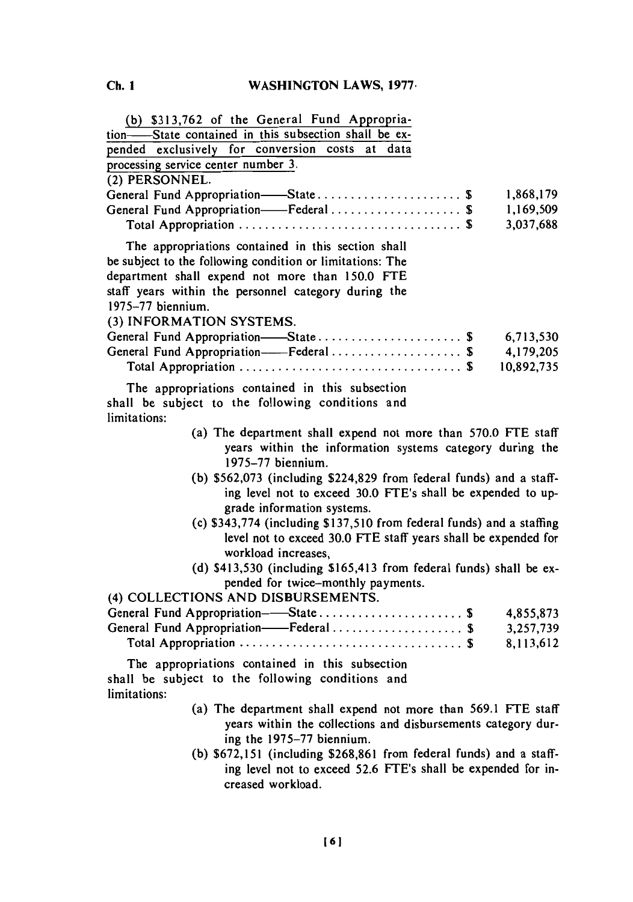| (b) \$313,762 of the General Fund Appropria-<br>tion-State contained in this subsection shall be ex-<br>pended exclusively for conversion costs<br>at data<br>processing service center number 3.                                               |            |
|-------------------------------------------------------------------------------------------------------------------------------------------------------------------------------------------------------------------------------------------------|------------|
| (2) PERSONNEL.                                                                                                                                                                                                                                  |            |
| General Fund Appropriation-State \$                                                                                                                                                                                                             | 1,868,179  |
| General Fund Appropriation-Federal \$                                                                                                                                                                                                           | 1,169,509  |
|                                                                                                                                                                                                                                                 | 3,037,688  |
| The appropriations contained in this section shall<br>be subject to the following condition or limitations: The<br>department shall expend not more than 150.0 FTE<br>staff years within the personnel category during the<br>1975-77 biennium. |            |
| (3) INFORMATION SYSTEMS.                                                                                                                                                                                                                        |            |
| General Fund Appropriation-State \$                                                                                                                                                                                                             | 6,713,530  |
|                                                                                                                                                                                                                                                 | 4,179,205  |
|                                                                                                                                                                                                                                                 | 10,892,735 |
| The appropriations contained in this subsection<br>shall be subject to the following conditions and<br>limitations:                                                                                                                             |            |
| (a) The department shall expend not more than 570.0 FTE staff<br>years within the information systems category during the<br>$1975 - 77$ biennium.                                                                                              |            |
| (b) $$562,073$ (including $$224,829$ from federal funds) and a staff-<br>ing level not to exceed 30.0 FTE's shall be expended to up-<br>grade information systems.                                                                              |            |
| (c) \$343,774 (including \$137,510 from federal funds) and a staffing                                                                                                                                                                           |            |
| level not to exceed 30.0 FTE staff years shall be expended for<br>workload increases,                                                                                                                                                           |            |
| (d) \$413,530 (including \$165,413 from federal funds) shall be ex-                                                                                                                                                                             |            |
| pended for twice-monthly payments.                                                                                                                                                                                                              |            |
| (4) COLLECTIONS AND DISBURSEMENTS.                                                                                                                                                                                                              |            |
| General Fund Appropriation-State \$                                                                                                                                                                                                             | 4,855,873  |
| General Fund Appropriation-Federal  \$                                                                                                                                                                                                          | 3,257,739  |
|                                                                                                                                                                                                                                                 | 8,113,612  |
| The appropriations contained in this subsection                                                                                                                                                                                                 |            |
| shall be subject to the following conditions and<br>limitations:                                                                                                                                                                                |            |
| (a) The department shall expend not more than 569.1 FTE staff                                                                                                                                                                                   |            |
| years within the collections and disbursements category dur-                                                                                                                                                                                    |            |
| ing the 1975-77 biennium.                                                                                                                                                                                                                       |            |

**(b) \$672,151** (including **\$268,861** from federal funds) and a staffing level not to exceed **52.6** FTE's shall be expended for increased workload.

**161**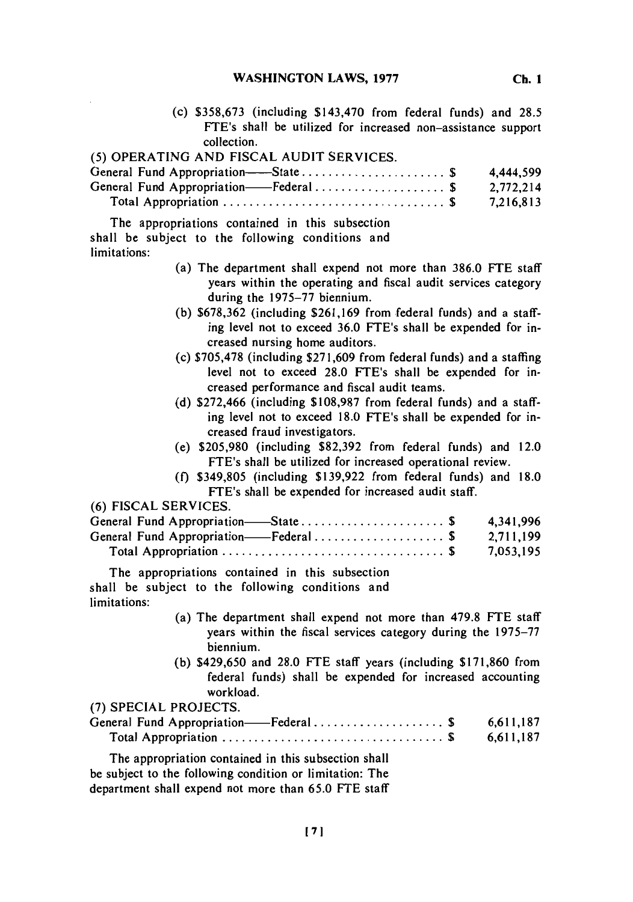**WASHINGTON LAWS, 1977** 

(c) *\$358,673* (including \$143,470 from federal funds) and **28.5** FTE's shall be utilized for increased non-assistance support collection.

| (5) OPERATING AND FISCAL AUDIT SERVICES. |           |
|------------------------------------------|-----------|
|                                          | 4.444.599 |
| General Fund Appropriation-Federal\$     | 2,772,214 |
|                                          | 7,216,813 |

The appropriations contained in this subsection shall be subject to the following conditions and limitations:

- (a) The department shall expend not more than **386.0 FTE** staff years within the operating and fiscal audit services category during the **1975-77** biennium.
- **(b) \$678,362** (including **\$261,169** from federal funds) and a staffing level not to exceed **36.0** FTE's shall be expended for increased nursing home auditors.
- (c) **\$705,478** (including **\$271,609** from federal funds) and a staffing level not to exceed **28.0** FTE's shall be expended for increased performance and fiscal audit teams.
- **(d) \$272,466** (including **\$108,987** from federal funds) and a staffing level not to exceed **18.0** FTE's shall be expended for increased fraud investigators.
- (e) **\$205,980** (including **\$82,392** from federal funds) and 12.0 FTE's shall be utilized for increased operational review.
- **(f) \$349,805** (including **\$139,922** from federal funds) and **18.0** FTE's shall be expended for increased audit staff.

**(6) FISCAL SERVICES.**

| General Fund Appropriation—State\$    | 4.341.996 |
|---------------------------------------|-----------|
| General Fund Appropriation——Federal\$ | 2,711,199 |
|                                       | 7,053,195 |

The appropriations contained in this subsection shall be subject to the following conditions and limitations:

- (a) The department shall expend not more than **479.8 FTE** staff years within the fiscal services category during the **1975-77** biennium.
- **(b)** \$429,650 and **28.0 FTE** staff years (including **\$171,860** from federal funds) shall be expended for increased accounting workload.

| (7) SPECIAL PROJECTS.                                    |           |
|----------------------------------------------------------|-----------|
| General Fund Appropriation——Federal\$                    | 6.611.187 |
|                                                          | 6,611,187 |
| The appropriation contained in this subsection shall     |           |
| be subject to the following condition or limitation: The |           |

department shall expend not more than **65.0 FTE** staff

**Ch. I**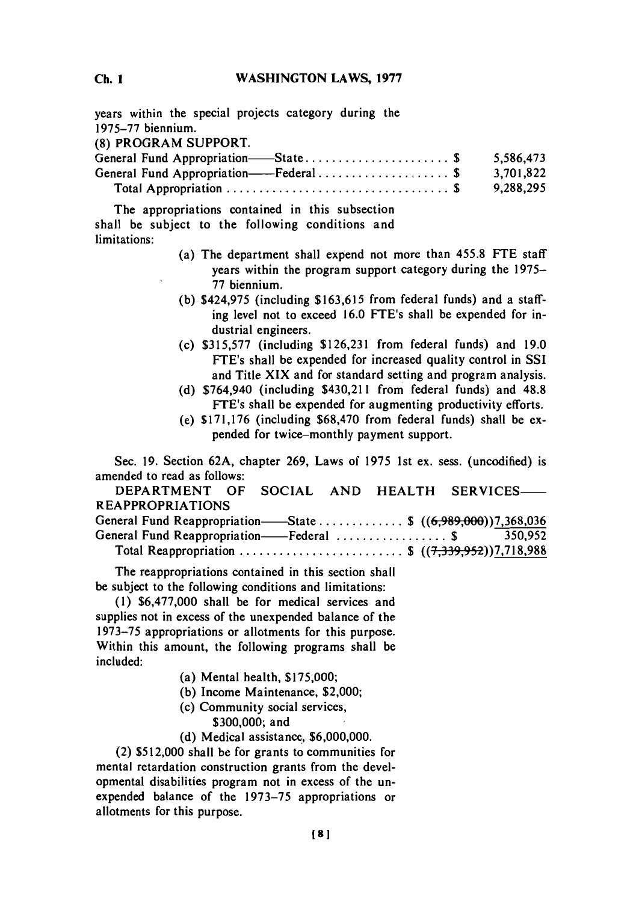**C. IWASHINGTON LAWS, 1977**

years within the special projects category during the **1975-77** biennium. **(8)** PROGRAM SUPPORT. General Fund Appropriation-State **..................... \$ 5,586,473**

| General Fund Appropriation——Federal\$                                                | 3,701,822 |
|--------------------------------------------------------------------------------------|-----------|
| Total Appropriation $\ldots \ldots \ldots \ldots \ldots \ldots \ldots \ldots \ldots$ | 9,288,295 |

The appropriations contained in this subsection shall be subject to the following conditions and limitations:

- (a) The department shall expend not more than **455.8 FTE** staff years within the program support category during the **1975- 77** biennium.
- **(b)** \$424,975 (including **\$163,615** from federal funds) and a staffing level not to exceed **16.0** FTE's shall be expended for industrial engineers.
- (c) **\$315,577** (including **\$126,231** from federal funds) and **19.0** FTE's shall be expended for increased quality control in **SSI** and Title XIX and for standard setting and program analysis.
- **(d)** \$764,940 (including \$430,211 from federal funds) and **48.8** FTE's shall be expended for augmenting productivity efforts.
- (e) **\$171,176** (including **\$68,470** from federal funds) shall be expended for twice-monthly payment support.

Sec. **19.** Section **62A,** chapter **269,** Laws of **1975** 1st ex. sess. (uncodified) is amended to read as follows:

| DEPARTMENT OF SOCIAL AND HEALTH SERVICES-                        |  |  |  |
|------------------------------------------------------------------|--|--|--|
| <b>REAPPROPRIATIONS</b>                                          |  |  |  |
| General Fund Reappropriation——State  \$ $((6,989,000))7,368,036$ |  |  |  |
| General Fund Reappropriation——Federal \$ 350,952                 |  |  |  |
| Total Reappropriation  \$ $((7,339,952))7,718,988$               |  |  |  |

The reappropriations contained in this section shall be subject to the following conditions and limitations:

**(1) \$6,477,000** shall be for medical services and supplies not in excess of the unexpended balance of the **1973-75** appropriations or allotments for this purpose. Within this amount, the following programs shall be included:

- (a) Mental health, **\$175,000;**
- **(b)** Income Maintenance, \$2,000;
- (c) Community social services,

**\$300,000;** and

**(d)** Medical assistance, **\$6,000,000.**

(2) **\$512,000** shall be for grants to communities for mental retardation construction grants from the developmental disabilities program not in excess of the unexpended balance of the **1973-75** appropriations or allotments for this purpose.

**Ch. 1**